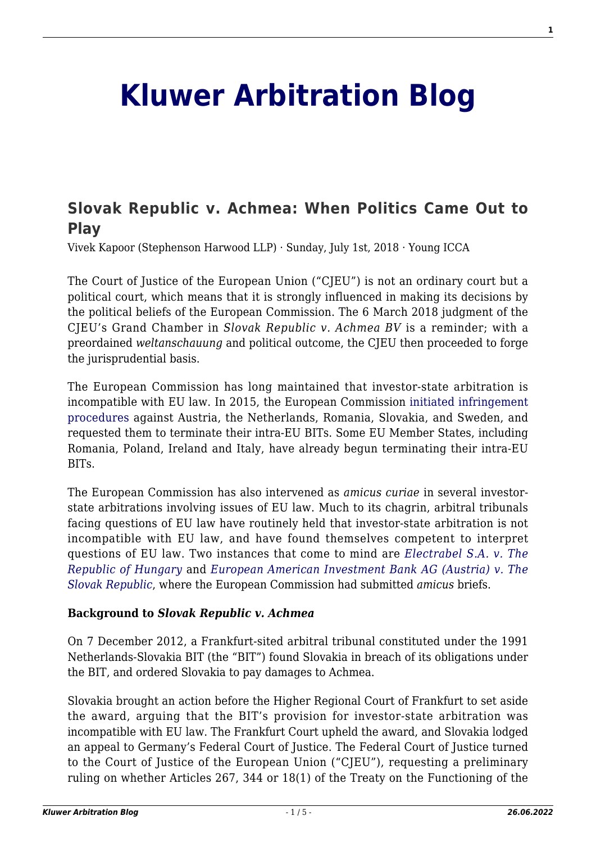# **[Kluwer Arbitration Blog](http://arbitrationblog.kluwerarbitration.com/)**

# **[Slovak Republic v. Achmea: When Politics Came Out to](http://arbitrationblog.kluwerarbitration.com/2018/07/01/slovak-republic-v-achmea-politics-came-play/) [Play](http://arbitrationblog.kluwerarbitration.com/2018/07/01/slovak-republic-v-achmea-politics-came-play/)**

Vivek Kapoor (Stephenson Harwood LLP) · Sunday, July 1st, 2018 · Young ICCA

The Court of Justice of the European Union ("CJEU") is not an ordinary court but a political court, which means that it is strongly influenced in making its decisions by the political beliefs of the European Commission. The 6 March 2018 judgment of the CJEU's Grand Chamber in *Slovak Republic v. Achmea BV* is a reminder; with a preordained *weltanschauung* and political outcome, the CJEU then proceeded to forge the jurisprudential basis.

The European Commission has long maintained that investor-state arbitration is incompatible with EU law. In 2015, the European Commission [initiated infringement](http://europa.eu/rapid/press-release_IP-15-5198_en.htm) [procedures](http://europa.eu/rapid/press-release_IP-15-5198_en.htm) against Austria, the Netherlands, Romania, Slovakia, and Sweden, and requested them to terminate their intra-EU BITs. Some EU Member States, including Romania, Poland, Ireland and Italy, have already begun terminating their intra-EU BITs.

The European Commission has also intervened as *amicus curiae* in several investorstate arbitrations involving issues of EU law. Much to its chagrin, arbitral tribunals facing questions of EU law have routinely held that investor-state arbitration is not incompatible with EU law, and have found themselves competent to interpret questions of EU law. Two instances that come to mind are *[Electrabel S.A. v. The](https://www.italaw.com/sites/default/files/case-documents/italaw1071clean.pdf) [Republic of Hungary](https://www.italaw.com/sites/default/files/case-documents/italaw1071clean.pdf)* and *[European American Investment Bank AG \(Austria\) v. The](https://www.italaw.com/sites/default/files/case-documents/italaw4226.pdf) [Slovak Republic](https://www.italaw.com/sites/default/files/case-documents/italaw4226.pdf)*, where the European Commission had submitted *amicus* briefs.

### **Background to** *Slovak Republic v. Achmea*

On 7 December 2012, a Frankfurt-sited arbitral tribunal constituted under the 1991 Netherlands-Slovakia BIT (the "BIT") found Slovakia in breach of its obligations under the BIT, and ordered Slovakia to pay damages to Achmea.

Slovakia brought an action before the Higher Regional Court of Frankfurt to set aside the award, arguing that the BIT's provision for investor-state arbitration was incompatible with EU law. The Frankfurt Court upheld the award, and Slovakia lodged an appeal to Germany's Federal Court of Justice. The Federal Court of Justice turned to the Court of Justice of the European Union ("CJEU"), requesting a preliminary ruling on whether Articles 267, 344 or 18(1) of the Treaty on the Functioning of the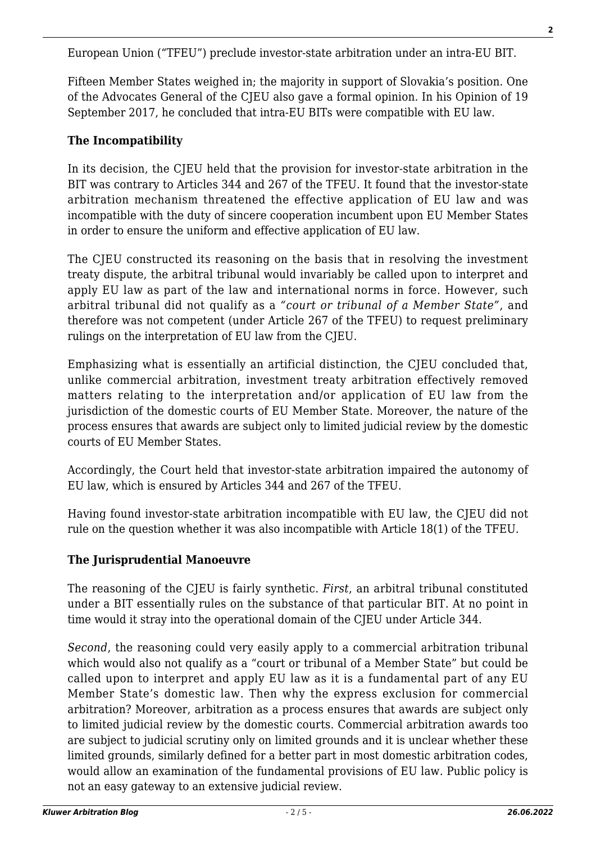European Union ("TFEU") preclude investor-state arbitration under an intra-EU BIT.

Fifteen Member States weighed in; the majority in support of Slovakia's position. One of the Advocates General of the CJEU also gave a formal opinion. In his Opinion of 19 September 2017, he concluded that intra-EU BITs were compatible with EU law.

# **The Incompatibility**

In its decision, the CJEU held that the provision for investor-state arbitration in the BIT was contrary to Articles 344 and 267 of the TFEU. It found that the investor-state arbitration mechanism threatened the effective application of EU law and was incompatible with the duty of sincere cooperation incumbent upon EU Member States in order to ensure the uniform and effective application of EU law.

The CJEU constructed its reasoning on the basis that in resolving the investment treaty dispute, the arbitral tribunal would invariably be called upon to interpret and apply EU law as part of the law and international norms in force. However, such arbitral tribunal did not qualify as a *"court or tribunal of a Member State"*, and therefore was not competent (under Article 267 of the TFEU) to request preliminary rulings on the interpretation of EU law from the CJEU.

Emphasizing what is essentially an artificial distinction, the CJEU concluded that, unlike commercial arbitration, investment treaty arbitration effectively removed matters relating to the interpretation and/or application of EU law from the jurisdiction of the domestic courts of EU Member State. Moreover, the nature of the process ensures that awards are subject only to limited judicial review by the domestic courts of EU Member States.

Accordingly, the Court held that investor-state arbitration impaired the autonomy of EU law, which is ensured by Articles 344 and 267 of the TFEU.

Having found investor-state arbitration incompatible with EU law, the CJEU did not rule on the question whether it was also incompatible with Article 18(1) of the TFEU.

# **The Jurisprudential Manoeuvre**

The reasoning of the CJEU is fairly synthetic. *First*, an arbitral tribunal constituted under a BIT essentially rules on the substance of that particular BIT. At no point in time would it stray into the operational domain of the CJEU under Article 344.

*Second*, the reasoning could very easily apply to a commercial arbitration tribunal which would also not qualify as a "court or tribunal of a Member State" but could be called upon to interpret and apply EU law as it is a fundamental part of any EU Member State's domestic law. Then why the express exclusion for commercial arbitration? Moreover, arbitration as a process ensures that awards are subject only to limited judicial review by the domestic courts. Commercial arbitration awards too are subject to judicial scrutiny only on limited grounds and it is unclear whether these limited grounds, similarly defined for a better part in most domestic arbitration codes, would allow an examination of the fundamental provisions of EU law. Public policy is not an easy gateway to an extensive judicial review.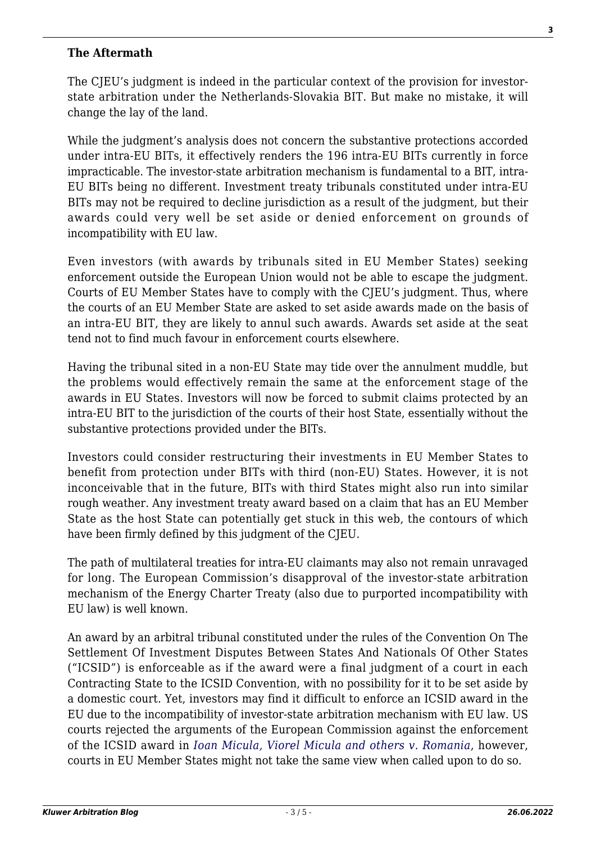## **The Aftermath**

The CJEU's judgment is indeed in the particular context of the provision for investorstate arbitration under the Netherlands-Slovakia BIT. But make no mistake, it will change the lay of the land.

While the judgment's analysis does not concern the substantive protections accorded under intra-EU BITs, it effectively renders the 196 intra-EU BITs currently in force impracticable. The investor-state arbitration mechanism is fundamental to a BIT, intra-EU BITs being no different. Investment treaty tribunals constituted under intra-EU BITs may not be required to decline jurisdiction as a result of the judgment, but their awards could very well be set aside or denied enforcement on grounds of incompatibility with EU law.

Even investors (with awards by tribunals sited in EU Member States) seeking enforcement outside the European Union would not be able to escape the judgment. Courts of EU Member States have to comply with the CJEU's judgment. Thus, where the courts of an EU Member State are asked to set aside awards made on the basis of an intra-EU BIT, they are likely to annul such awards. Awards set aside at the seat tend not to find much favour in enforcement courts elsewhere.

Having the tribunal sited in a non-EU State may tide over the annulment muddle, but the problems would effectively remain the same at the enforcement stage of the awards in EU States. Investors will now be forced to submit claims protected by an intra-EU BIT to the jurisdiction of the courts of their host State, essentially without the substantive protections provided under the BITs.

Investors could consider restructuring their investments in EU Member States to benefit from protection under BITs with third (non-EU) States. However, it is not inconceivable that in the future, BITs with third States might also run into similar rough weather. Any investment treaty award based on a claim that has an EU Member State as the host State can potentially get stuck in this web, the contours of which have been firmly defined by this judgment of the CJEU.

The path of multilateral treaties for intra-EU claimants may also not remain unravaged for long. The European Commission's disapproval of the investor-state arbitration mechanism of the Energy Charter Treaty (also due to purported incompatibility with EU law) is well known.

An award by an arbitral tribunal constituted under the rules of the Convention On The Settlement Of Investment Disputes Between States And Nationals Of Other States ("ICSID") is enforceable as if the award were a final judgment of a court in each Contracting State to the ICSID Convention, with no possibility for it to be set aside by a domestic court. Yet, investors may find it difficult to enforce an ICSID award in the EU due to the incompatibility of investor-state arbitration mechanism with EU law. US courts rejected the arguments of the European Commission against the enforcement of the ICSID award in *[Ioan Micula, Viorel Micula and others v. Romania](https://www.italaw.com/sites/default/files/case-documents/italaw94011.pdf)*, however, courts in EU Member States might not take the same view when called upon to do so.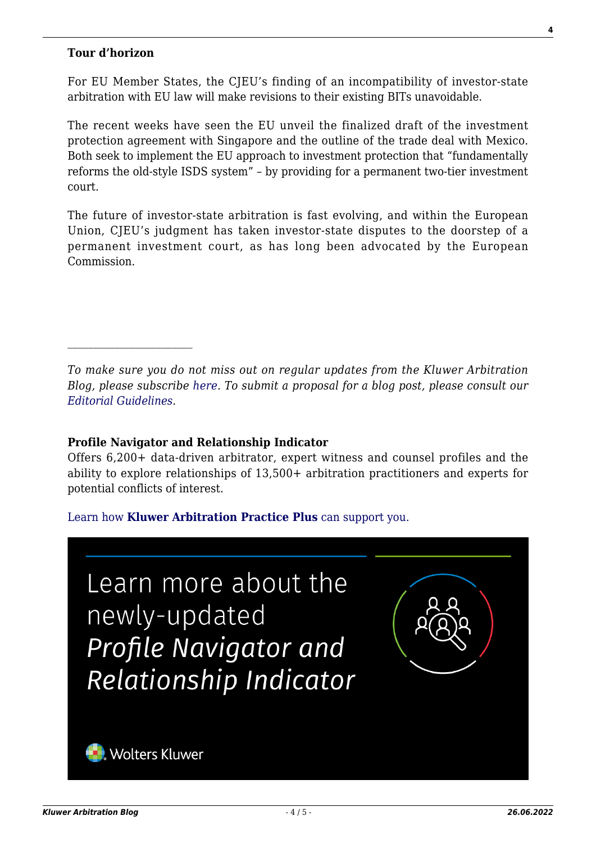#### **Tour d'horizon**

For EU Member States, the CJEU's finding of an incompatibility of investor-state arbitration with EU law will make revisions to their existing BITs unavoidable.

The recent weeks have seen the EU unveil the finalized draft of the investment protection agreement with Singapore and the outline of the trade deal with Mexico. Both seek to implement the EU approach to investment protection that "fundamentally reforms the old-style ISDS system" – by providing for a permanent two-tier investment court.

The future of investor-state arbitration is fast evolving, and within the European Union, CJEU's judgment has taken investor-state disputes to the doorstep of a permanent investment court, as has long been advocated by the European Commission.

### **Profile Navigator and Relationship Indicator**

Offers 6,200+ data-driven arbitrator, expert witness and counsel profiles and the ability to explore relationships of 13,500+ arbitration practitioners and experts for potential conflicts of interest.

[Learn how](https://www.wolterskluwer.com/en/solutions/kluwerarbitration/practiceplus?utm_source=arbitrationblog&utm_medium=articleCTA&utm_campaign=article-banner) **[Kluwer Arbitration Practice Plus](https://www.wolterskluwer.com/en/solutions/kluwerarbitration/practiceplus?utm_source=arbitrationblog&utm_medium=articleCTA&utm_campaign=article-banner)** [can support you.](https://www.wolterskluwer.com/en/solutions/kluwerarbitration/practiceplus?utm_source=arbitrationblog&utm_medium=articleCTA&utm_campaign=article-banner)



*To make sure you do not miss out on regular updates from the Kluwer Arbitration Blog, please subscribe [here](http://arbitrationblog.kluwerarbitration.com/newsletter/). To submit a proposal for a blog post, please consult our [Editorial Guidelines.](http://arbitrationblog.kluwerarbitration.com/editorial-guidelines/)*